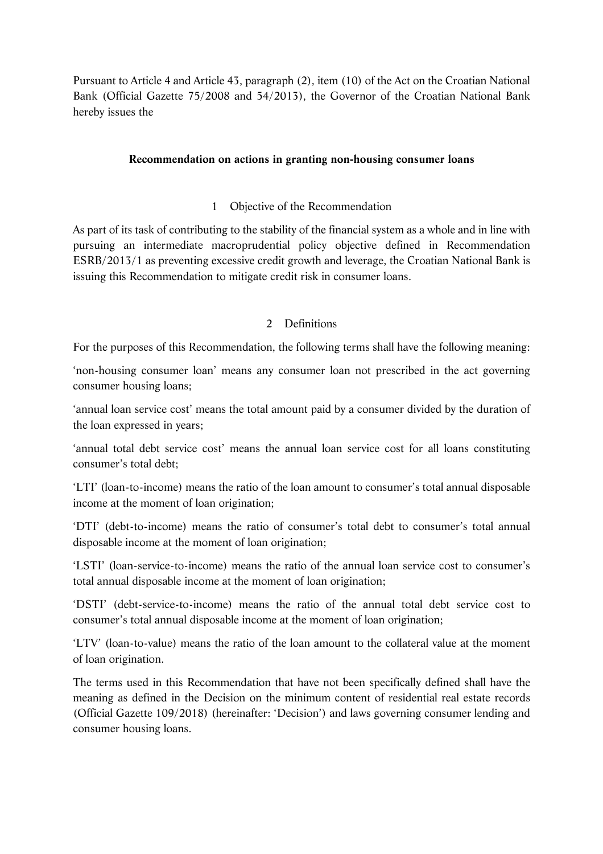Pursuant to Article 4 and Article 43, paragraph (2), item (10) of the Act on the Croatian National Bank (Official Gazette 75/2008 and 54/2013), the Governor of the Croatian National Bank hereby issues the

### **Recommendation on actions in granting non-housing consumer loans**

### 1 Objective of the Recommendation

As part of its task of contributing to the stability of the financial system as a whole and in line with pursuing an intermediate macroprudential policy objective defined in Recommendation ESRB/2013/1 as preventing excessive credit growth and leverage, the Croatian National Bank is issuing this Recommendation to mitigate credit risk in consumer loans.

## 2 Definitions

For the purposes of this Recommendation, the following terms shall have the following meaning:

'non-housing consumer loan' means any consumer loan not prescribed in the act governing consumer housing loans;

'annual loan service cost' means the total amount paid by a consumer divided by the duration of the loan expressed in years;

'annual total debt service cost' means the annual loan service cost for all loans constituting consumer's total debt;

'LTI' (loan-to-income) means the ratio of the loan amount to consumer's total annual disposable income at the moment of loan origination;

'DTI' (debt-to-income) means the ratio of consumer's total debt to consumer's total annual disposable income at the moment of loan origination;

'LSTI' (loan-service-to-income) means the ratio of the annual loan service cost to consumer's total annual disposable income at the moment of loan origination;

'DSTI' (debt-service-to-income) means the ratio of the annual total debt service cost to consumer's total annual disposable income at the moment of loan origination;

'LTV' (loan-to-value) means the ratio of the loan amount to the collateral value at the moment of loan origination.

The terms used in this Recommendation that have not been specifically defined shall have the meaning as defined in the Decision on the minimum content of residential real estate records (Official Gazette 109/2018) (hereinafter: 'Decision') and laws governing consumer lending and consumer housing loans.